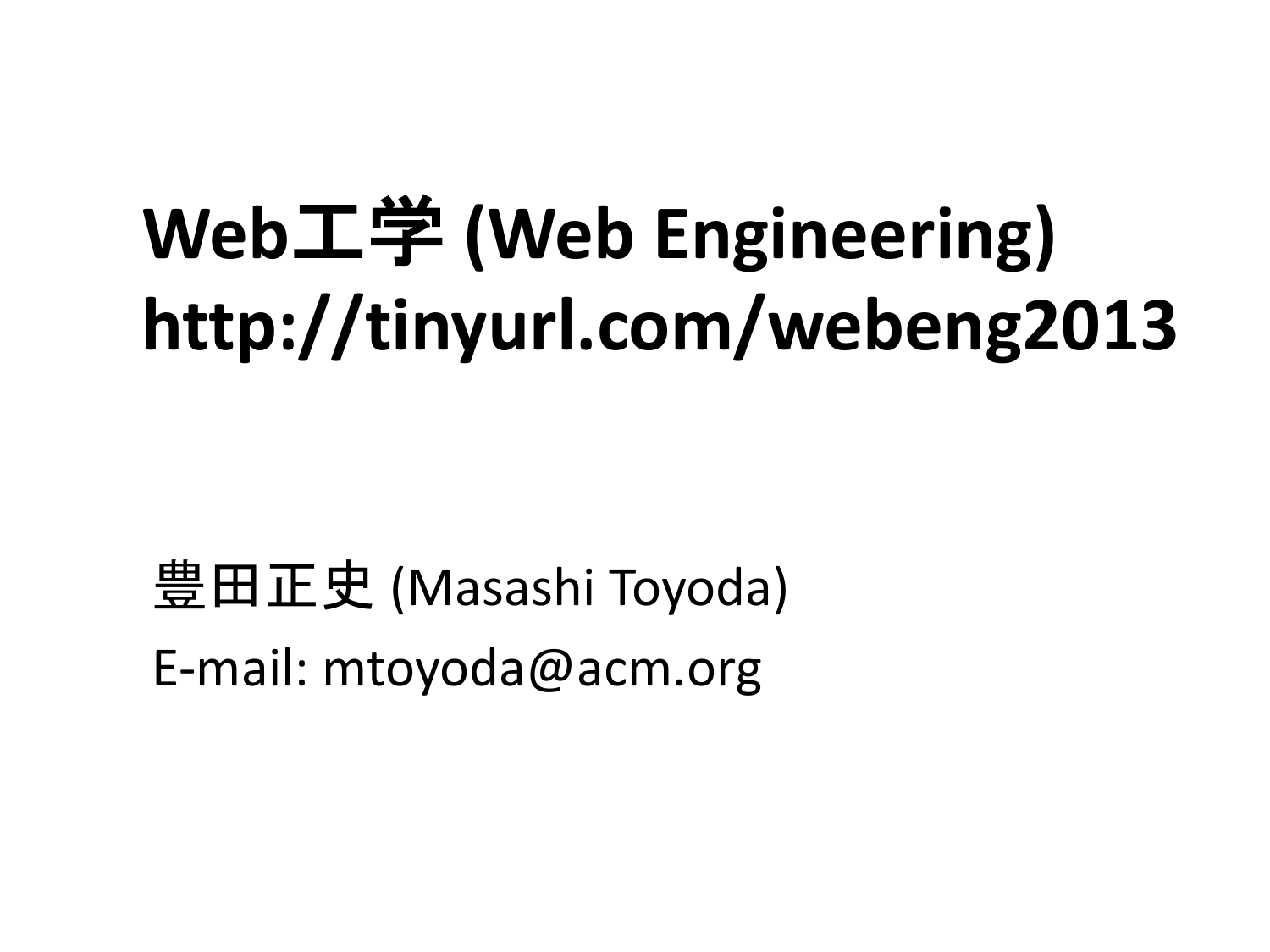# **Web**工学 **(Web Engineering) http://tinyurl.com/webeng2013**

豊田正史 (Masashi Toyoda) E-mail: mtoyoda@acm.org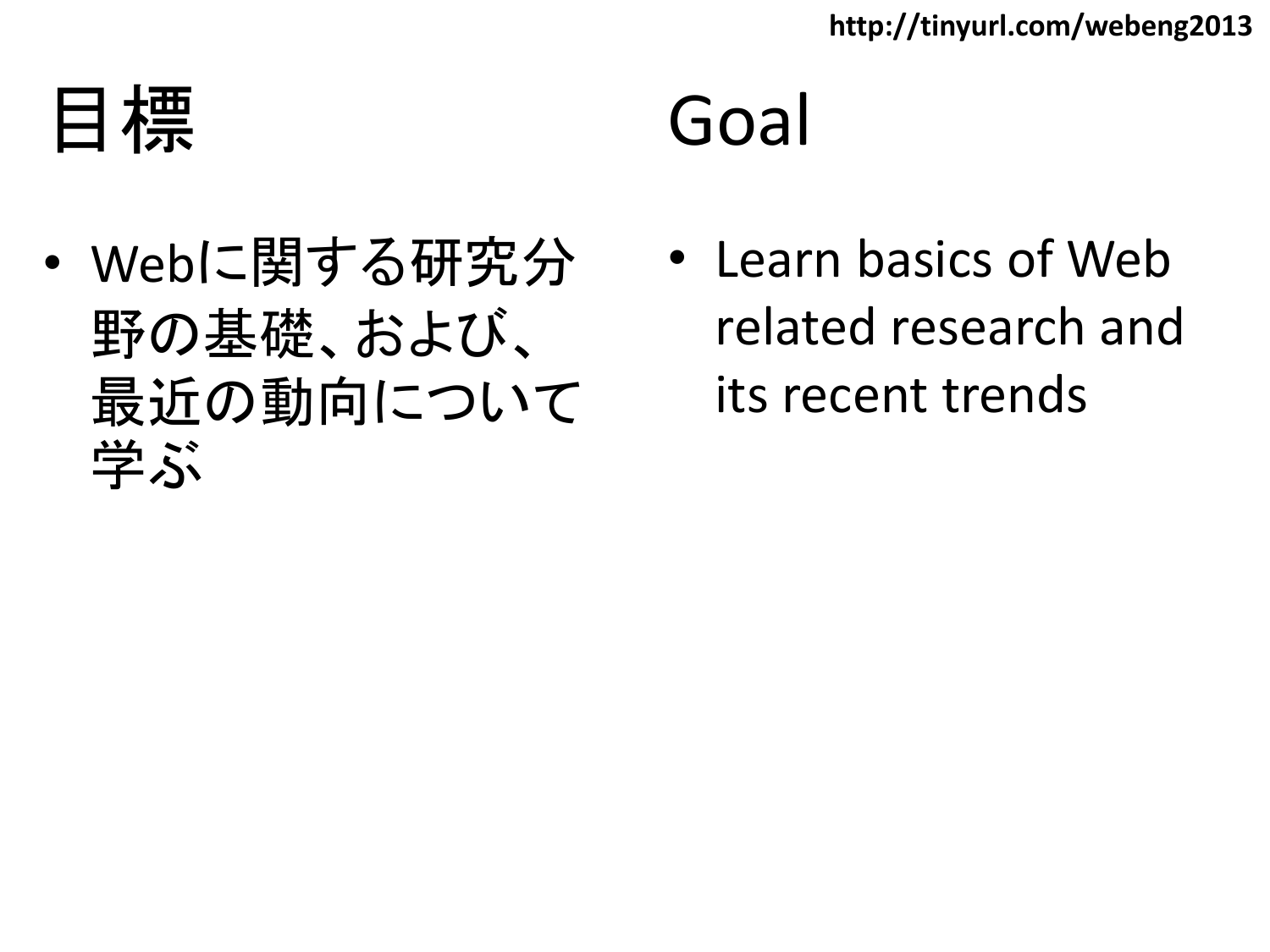目標

#### Goal

- Webに関する研究分 野の基礎、および、 最近の動向について 学ぶ
- Learn basics of Web related research and its recent trends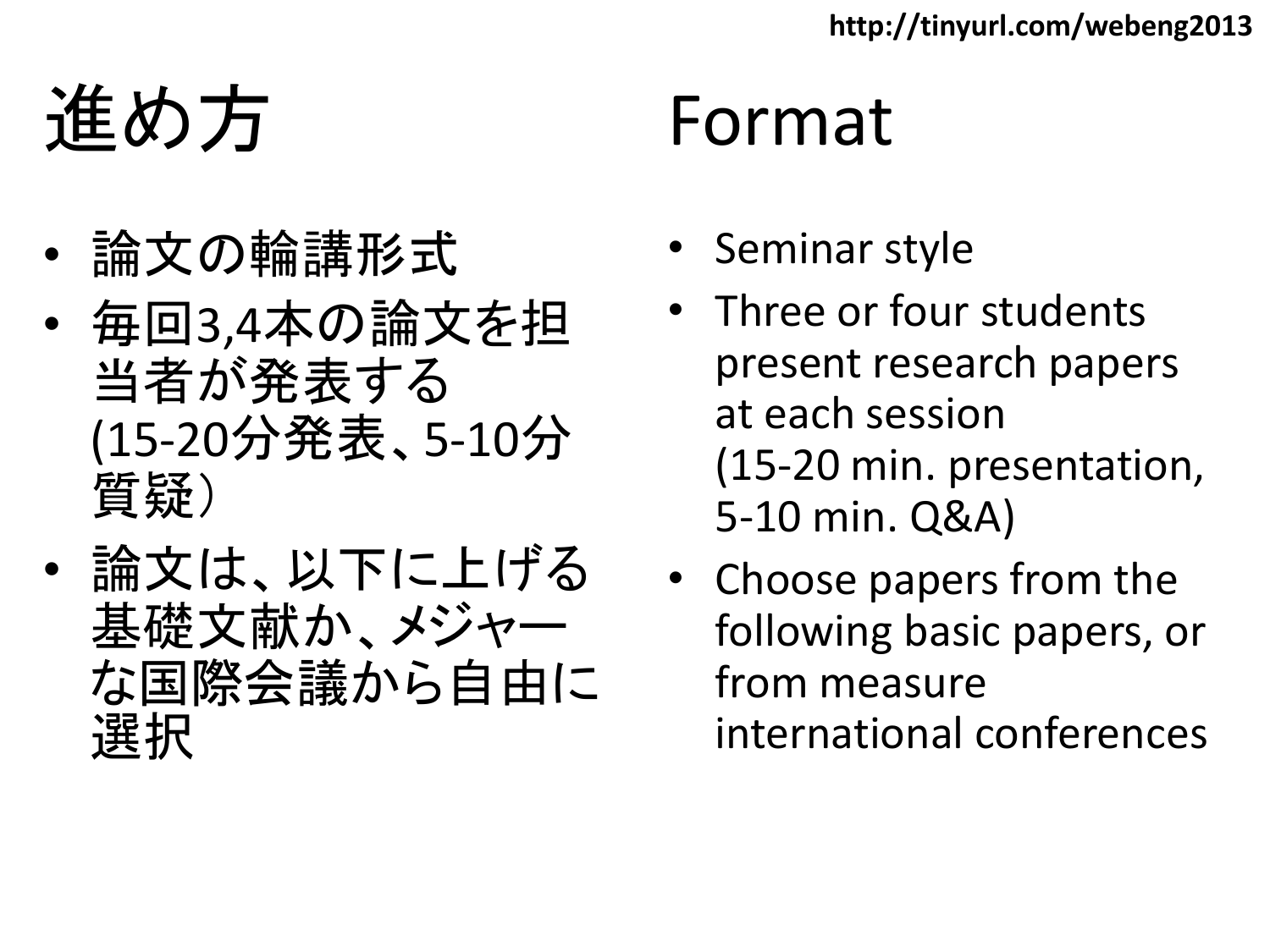進め方

- 論文の輪講形式
- 毎回3,4本の論文を担 当者が発表する (15-20分発表、5-10分 質疑)
- 論文は、以下に上げる 基礎文献か、メジャー な国際会議から自由に 選択

#### Format

- Seminar style
- Three or four students present research papers at each session (15-20 min. presentation, 5-10 min. Q&A)
- Choose papers from the following basic papers, or from measure international conferences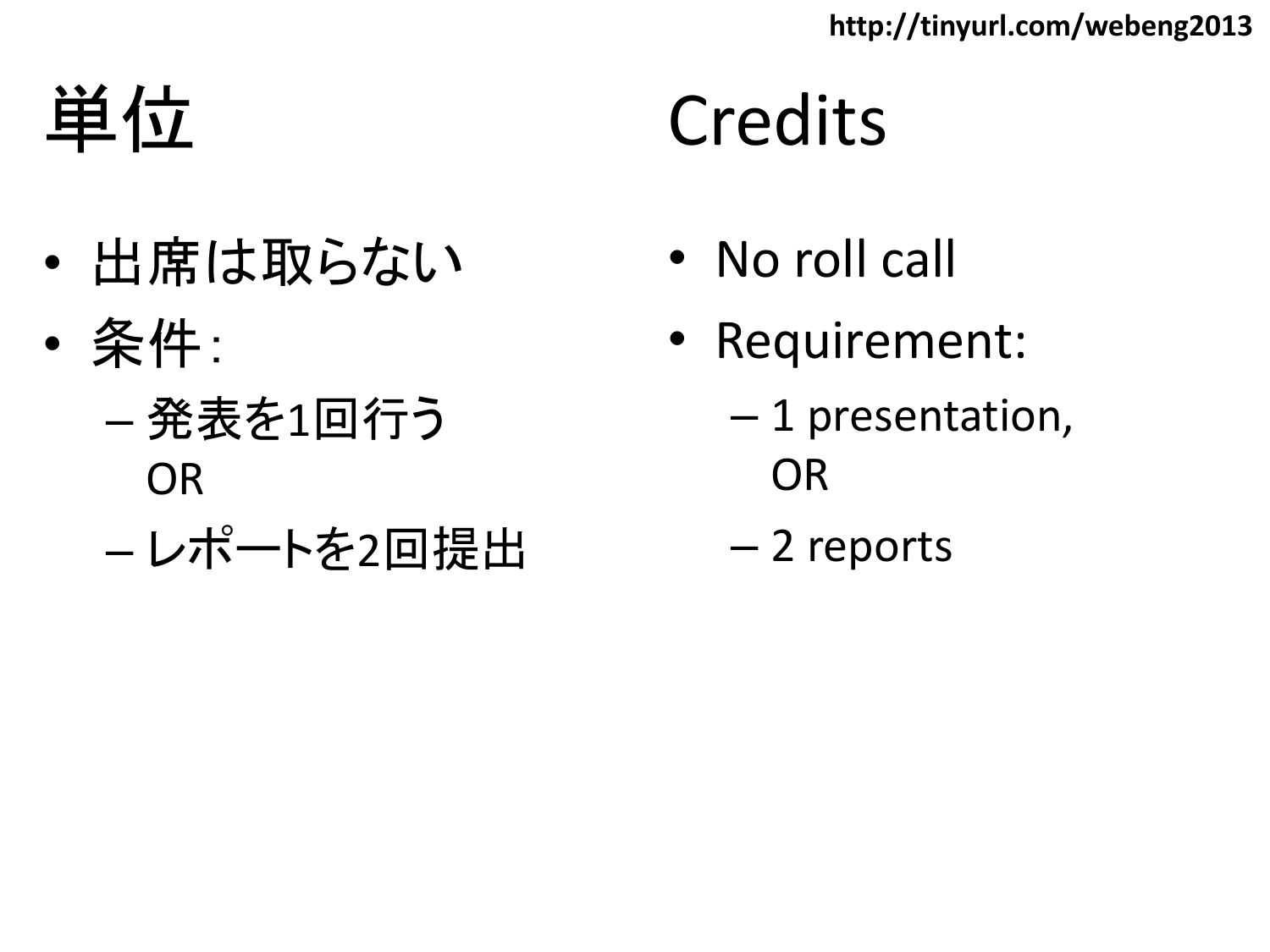**http://tinyurl.com/webeng2013**

単位

- 出席は取らない
- 条件:
	- 発表を1回行う OR
	- レポートを2回提出

### **Credits**

- No roll call
- Requirement:
	- 1 presentation, OR
	- 2 reports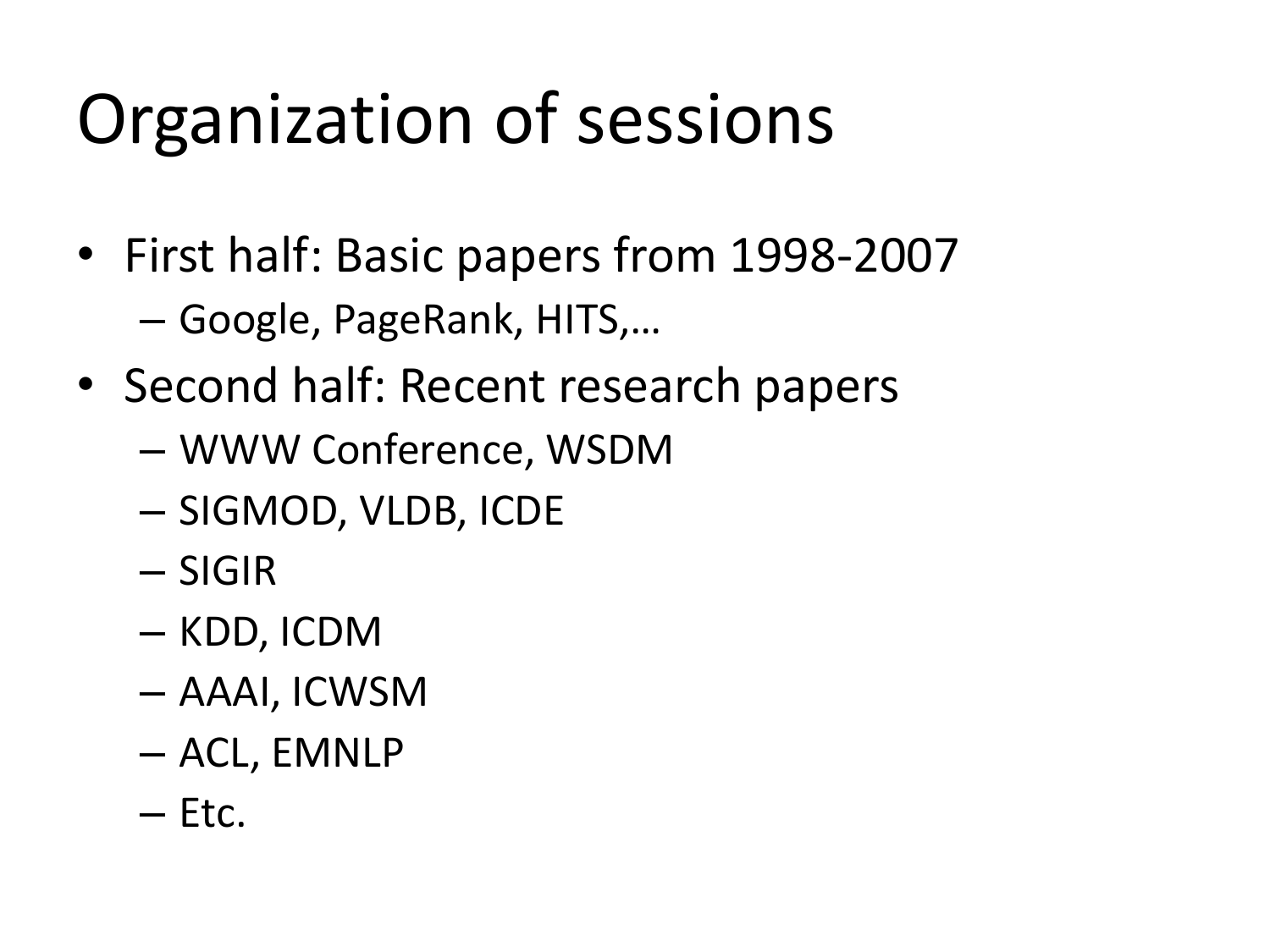### Organization of sessions

- First half: Basic papers from 1998-2007 – Google, PageRank, HITS,…
- Second half: Recent research papers
	- WWW Conference, WSDM
	- SIGMOD, VLDB, ICDE
	- SIGIR
	- KDD, ICDM
	- AAAI, ICWSM
	- ACL, EMNLP
	- Etc.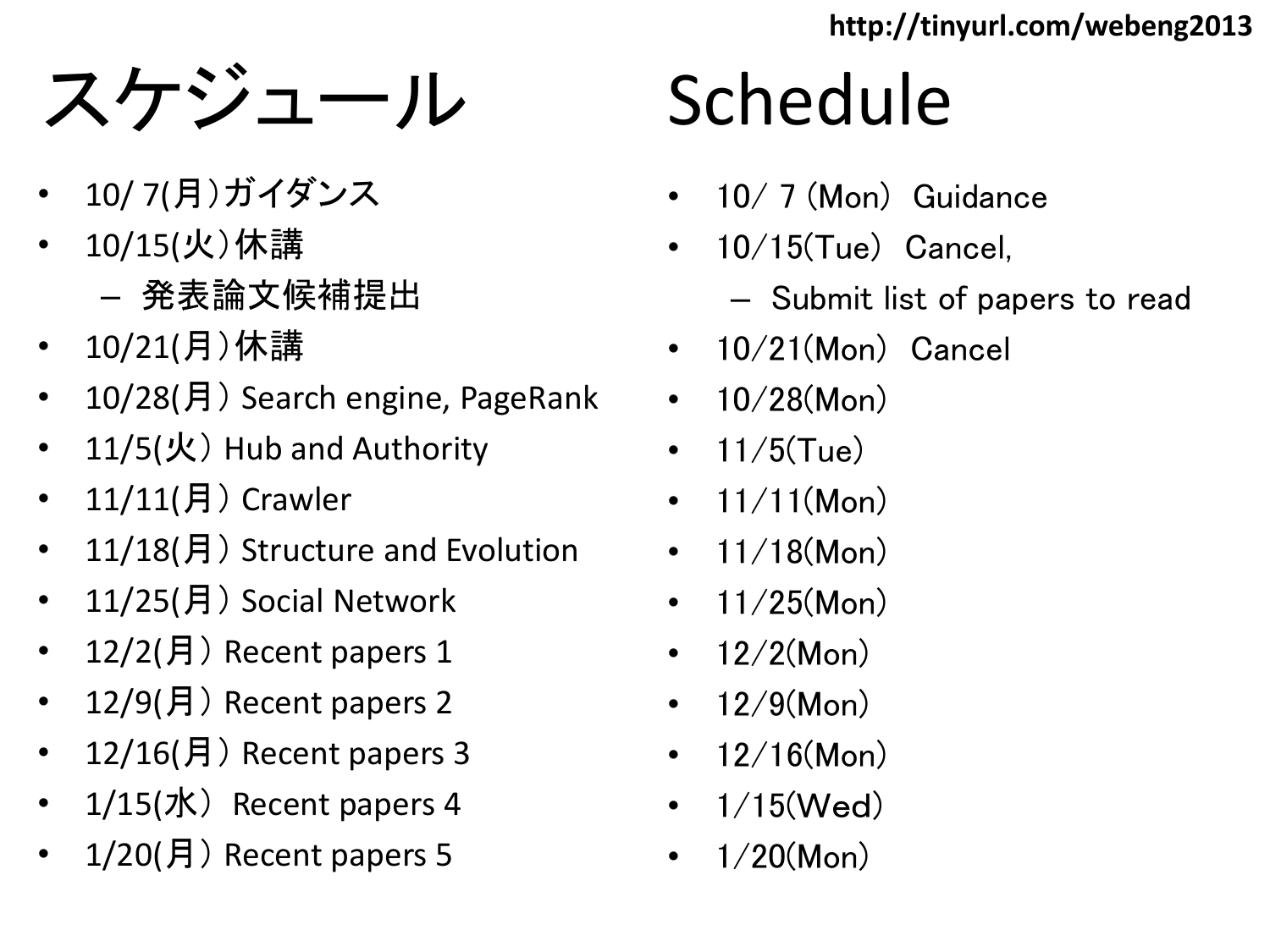**http://tinyurl.com/webeng2013**

### スケジュール

- 10/ 7(月)ガイダンス
- 10/15(火)休講
	- 発表論文候補提出
- 10/21(月)休講
- 10/28(月) Search engine, PageRank
- 11/5(火) Hub and Authority
- 11/11(月) Crawler
- 11/18(月) Structure and Evolution
- 11/25(月) Social Network
- 12/2(月) Recent papers 1
- 12/9(月) Recent papers 2
- 12/16(月) Recent papers 3
- 1/15(水) Recent papers 4
- $1/20$ (月) Recent papers 5

# Schedule

- 10/ 7 (Mon) Guidance
- 10/15(Tue) Cancel,
	- Submit list of papers to read
- 10/21(Mon) Cancel
- $10/28$ (Mon)
- $11/5$ (Tue)
- $11/11(Mon)$
- $11/18$ (Mon)
- $11/25$ (Mon)
- $12/2$ (Mon)
- $12/9$ (Mon)
- $12/16$ (Mon)
- $1/15$ (Wed)
- $1/20$ (Mon)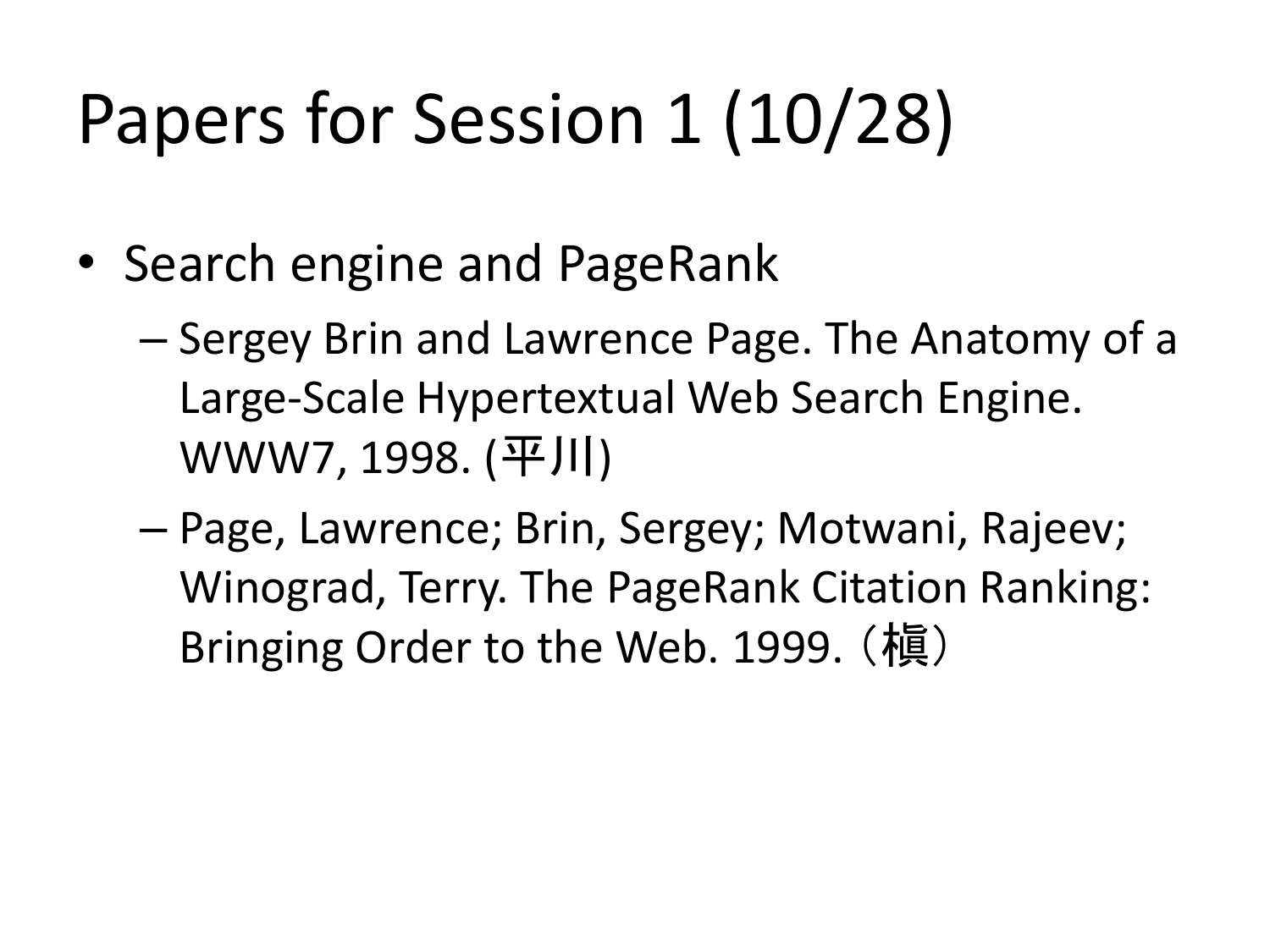## Papers for Session 1 (10/28)

- Search engine and PageRank
	- Sergey Brin and Lawrence Page. The Anatomy of a Large-Scale Hypertextual Web Search Engine. WWW7, 1998. (平川)
	- Page, Lawrence; Brin, Sergey; Motwani, Rajeev; Winograd, Terry. The PageRank Citation Ranking: Bringing Order to the Web. 1999. (槇)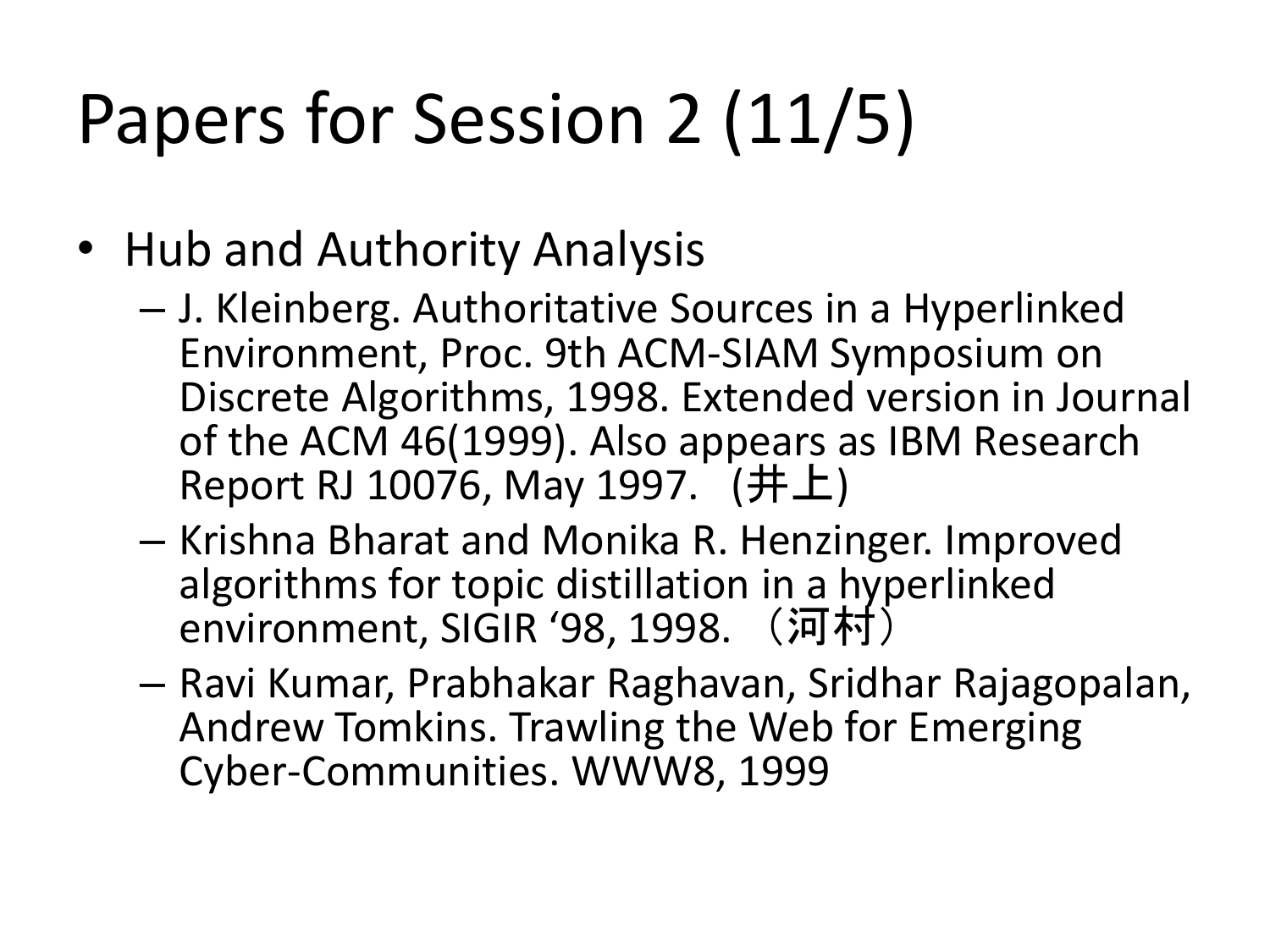## Papers for Session 2 (11/5)

- Hub and Authority Analysis
	- J. Kleinberg. Authoritative Sources in a Hyperlinked Environment, Proc. 9th ACM-SIAM Symposium on Discrete Algorithms, 1998. Extended version in Journal of the ACM 46(1999). Also appears as IBM Research Report RJ 10076, May 1997. (井上)
	- Krishna Bharat and Monika R. Henzinger. Improved algorithms for topic distillation in a hyperlinked environment, SIGIR '98, 1998. (河村)
	- Ravi Kumar, Prabhakar Raghavan, Sridhar Rajagopalan, Andrew Tomkins. Trawling the Web for Emerging Cyber-Communities. WWW8, 1999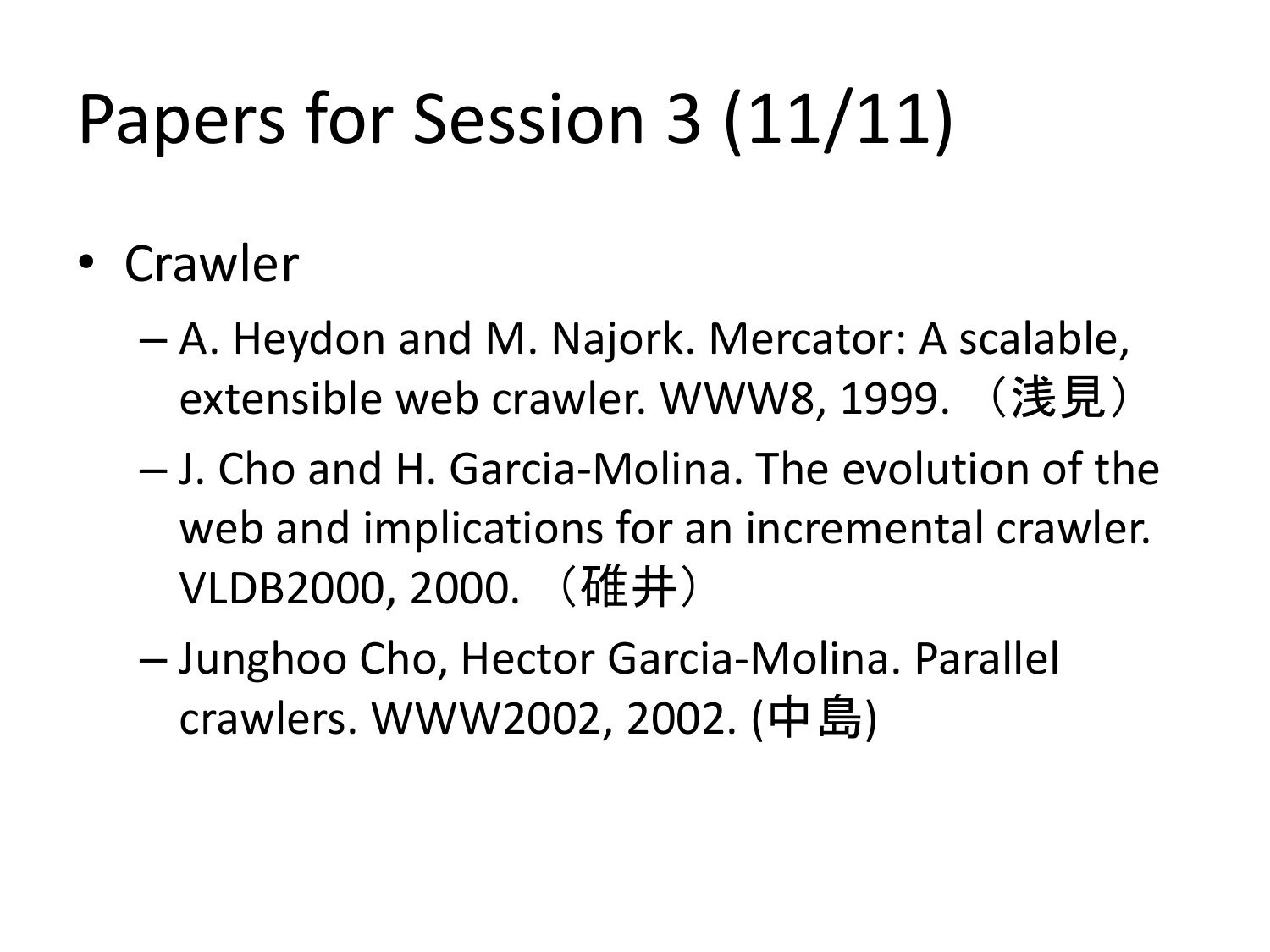## Papers for Session 3 (11/11)

- Crawler
	- A. Heydon and M. Najork. Mercator: A scalable, extensible web crawler. WWW8, 1999. (浅見)
	- J. Cho and H. Garcia-Molina. The evolution of the web and implications for an incremental crawler. VLDB2000, 2000. (碓井)
	- Junghoo Cho, Hector Garcia-Molina. Parallel crawlers. WWW2002, 2002. (中島)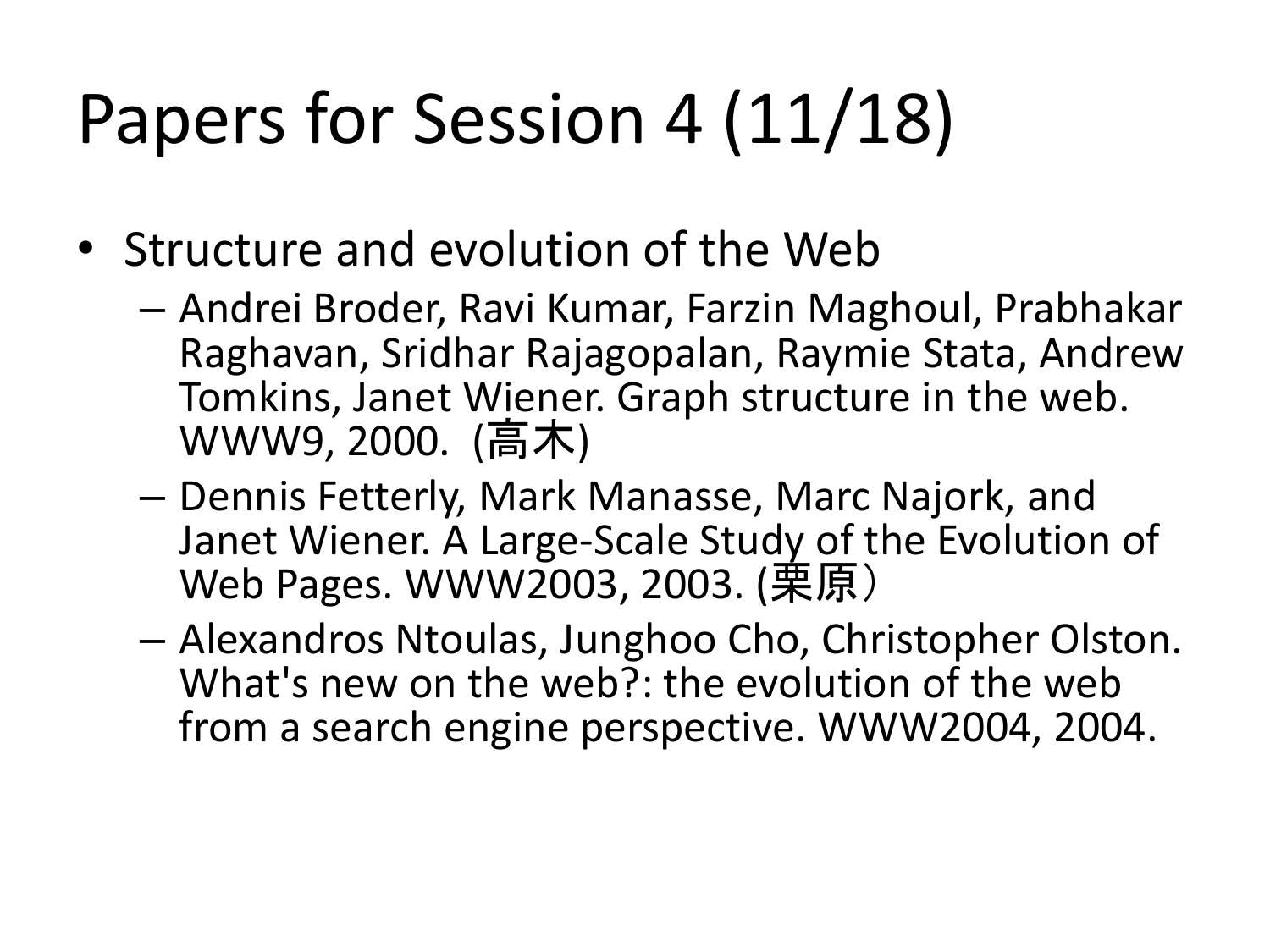## Papers for Session 4 (11/18)

- Structure and evolution of the Web
	- Andrei Broder, Ravi Kumar, Farzin Maghoul, Prabhakar Raghavan, Sridhar Rajagopalan, Raymie Stata, Andrew Tomkins, Janet Wiener. Graph structure in the web. WWW9, 2000. (高木)
	- Dennis Fetterly, Mark Manasse, Marc Najork, and Janet Wiener. A Large-Scale Study of the Evolution of Web Pages. WWW2003, 2003. (栗原)
	- Alexandros Ntoulas, Junghoo Cho, Christopher Olston. What's new on the web?: the evolution of the web from a search engine perspective. WWW2004, 2004.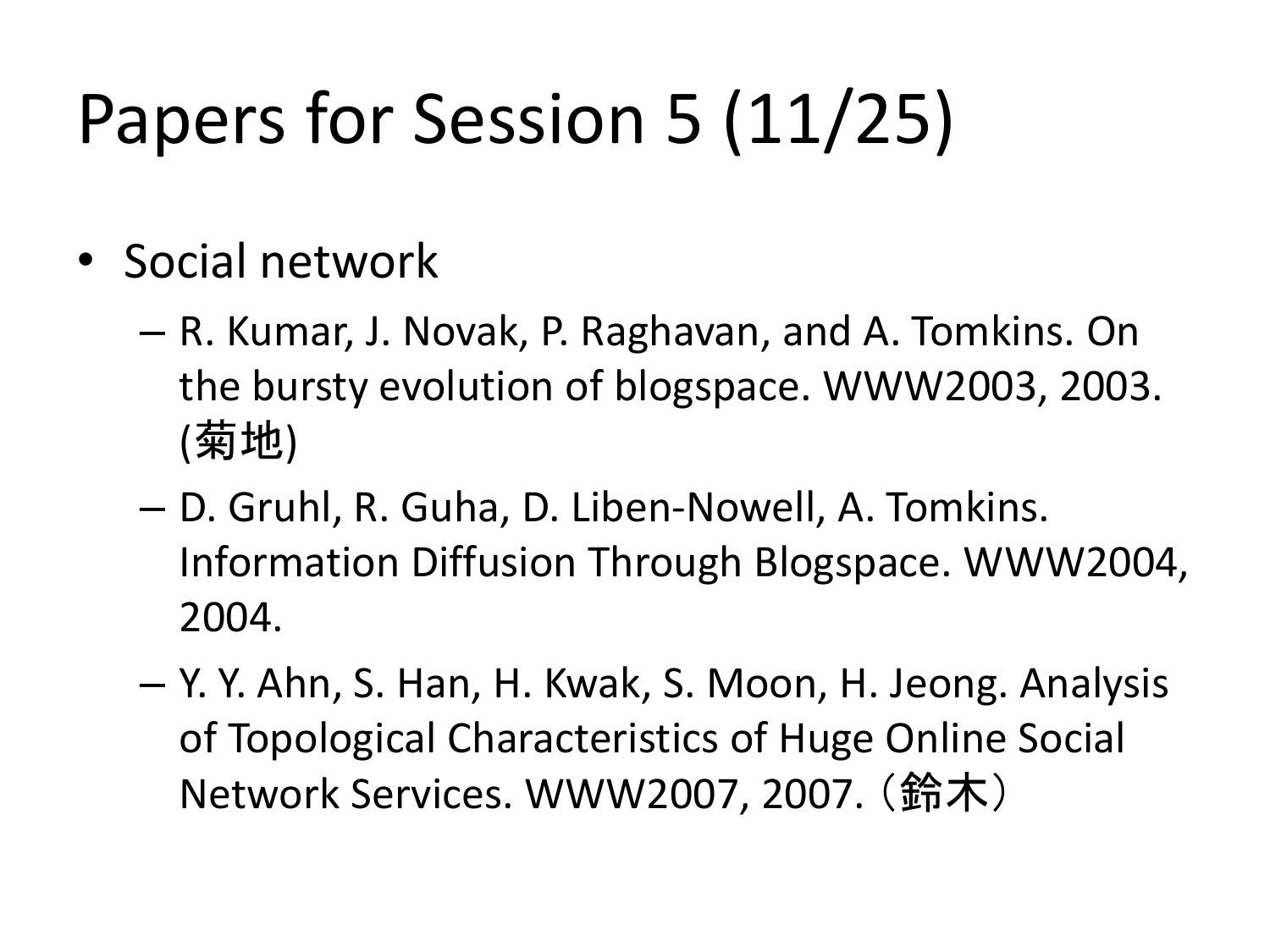## Papers for Session 5 (11/25)

- Social network
	- R. Kumar, J. Novak, P. Raghavan, and A. Tomkins. On the bursty evolution of blogspace. WWW2003, 2003. (菊地)
	- D. Gruhl, R. Guha, D. Liben-Nowell, A. Tomkins. Information Diffusion Through Blogspace. WWW2004, 2004.
	- Y. Y. Ahn, S. Han, H. Kwak, S. Moon, H. Jeong. Analysis of Topological Characteristics of Huge Online Social Network Services. WWW2007, 2007. (鈴木)